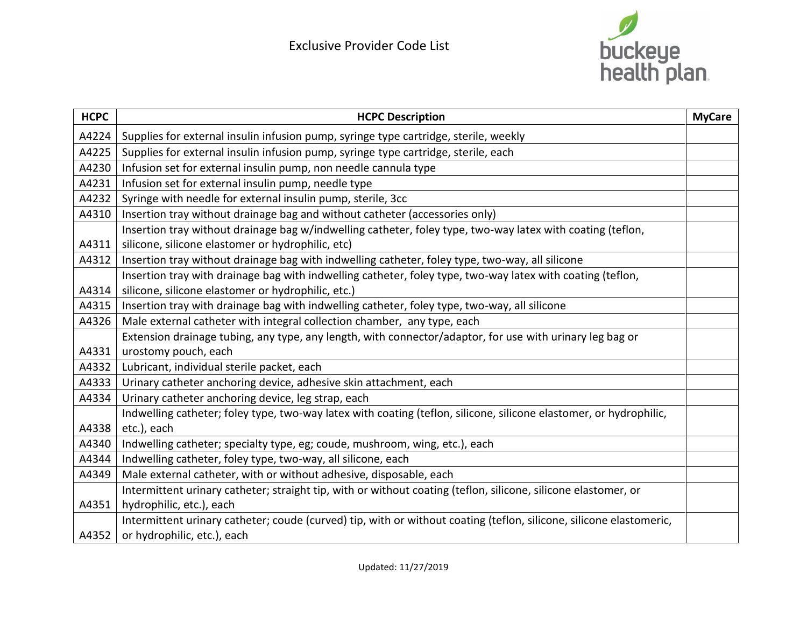

| <b>HCPC</b> | <b>HCPC Description</b>                                                                                             | <b>MyCare</b> |
|-------------|---------------------------------------------------------------------------------------------------------------------|---------------|
| A4224       | Supplies for external insulin infusion pump, syringe type cartridge, sterile, weekly                                |               |
| A4225       | Supplies for external insulin infusion pump, syringe type cartridge, sterile, each                                  |               |
| A4230       | Infusion set for external insulin pump, non needle cannula type                                                     |               |
| A4231       | Infusion set for external insulin pump, needle type                                                                 |               |
| A4232       | Syringe with needle for external insulin pump, sterile, 3cc                                                         |               |
| A4310       | Insertion tray without drainage bag and without catheter (accessories only)                                         |               |
|             | Insertion tray without drainage bag w/indwelling catheter, foley type, two-way latex with coating (teflon,          |               |
| A4311       | silicone, silicone elastomer or hydrophilic, etc)                                                                   |               |
| A4312       | Insertion tray without drainage bag with indwelling catheter, foley type, two-way, all silicone                     |               |
|             | Insertion tray with drainage bag with indwelling catheter, foley type, two-way latex with coating (teflon,          |               |
| A4314       | silicone, silicone elastomer or hydrophilic, etc.)                                                                  |               |
| A4315       | Insertion tray with drainage bag with indwelling catheter, foley type, two-way, all silicone                        |               |
| A4326       | Male external catheter with integral collection chamber, any type, each                                             |               |
|             | Extension drainage tubing, any type, any length, with connector/adaptor, for use with urinary leg bag or            |               |
| A4331       | urostomy pouch, each                                                                                                |               |
| A4332       | Lubricant, individual sterile packet, each                                                                          |               |
| A4333       | Urinary catheter anchoring device, adhesive skin attachment, each                                                   |               |
| A4334       | Urinary catheter anchoring device, leg strap, each                                                                  |               |
|             | Indwelling catheter; foley type, two-way latex with coating (teflon, silicone, silicone elastomer, or hydrophilic,  |               |
| A4338       | etc.), each                                                                                                         |               |
| A4340       | Indwelling catheter; specialty type, eg; coude, mushroom, wing, etc.), each                                         |               |
| A4344       | Indwelling catheter, foley type, two-way, all silicone, each                                                        |               |
| A4349       | Male external catheter, with or without adhesive, disposable, each                                                  |               |
|             | Intermittent urinary catheter; straight tip, with or without coating (teflon, silicone, silicone elastomer, or      |               |
| A4351       | hydrophilic, etc.), each                                                                                            |               |
|             | Intermittent urinary catheter; coude (curved) tip, with or without coating (teflon, silicone, silicone elastomeric, |               |
| A4352       | or hydrophilic, etc.), each                                                                                         |               |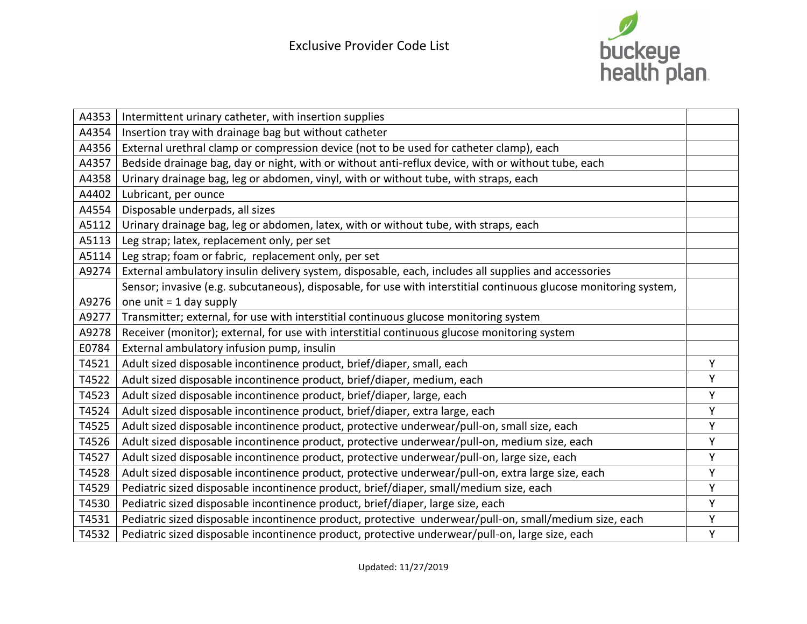

| A4353 | Intermittent urinary catheter, with insertion supplies                                                            |   |
|-------|-------------------------------------------------------------------------------------------------------------------|---|
| A4354 | Insertion tray with drainage bag but without catheter                                                             |   |
| A4356 | External urethral clamp or compression device (not to be used for catheter clamp), each                           |   |
| A4357 | Bedside drainage bag, day or night, with or without anti-reflux device, with or without tube, each                |   |
| A4358 | Urinary drainage bag, leg or abdomen, vinyl, with or without tube, with straps, each                              |   |
| A4402 | Lubricant, per ounce                                                                                              |   |
| A4554 | Disposable underpads, all sizes                                                                                   |   |
| A5112 | Urinary drainage bag, leg or abdomen, latex, with or without tube, with straps, each                              |   |
| A5113 | Leg strap; latex, replacement only, per set                                                                       |   |
| A5114 | Leg strap; foam or fabric, replacement only, per set                                                              |   |
| A9274 | External ambulatory insulin delivery system, disposable, each, includes all supplies and accessories              |   |
|       | Sensor; invasive (e.g. subcutaneous), disposable, for use with interstitial continuous glucose monitoring system, |   |
| A9276 | one unit $= 1$ day supply                                                                                         |   |
| A9277 | Transmitter; external, for use with interstitial continuous glucose monitoring system                             |   |
| A9278 | Receiver (monitor); external, for use with interstitial continuous glucose monitoring system                      |   |
| E0784 | External ambulatory infusion pump, insulin                                                                        |   |
| T4521 | Adult sized disposable incontinence product, brief/diaper, small, each                                            | Y |
| T4522 | Adult sized disposable incontinence product, brief/diaper, medium, each                                           | Υ |
| T4523 | Adult sized disposable incontinence product, brief/diaper, large, each                                            | Y |
| T4524 | Adult sized disposable incontinence product, brief/diaper, extra large, each                                      | Y |
| T4525 | Adult sized disposable incontinence product, protective underwear/pull-on, small size, each                       | Υ |
| T4526 | Adult sized disposable incontinence product, protective underwear/pull-on, medium size, each                      | Y |
| T4527 | Adult sized disposable incontinence product, protective underwear/pull-on, large size, each                       | Y |
| T4528 | Adult sized disposable incontinence product, protective underwear/pull-on, extra large size, each                 | Υ |
| T4529 | Pediatric sized disposable incontinence product, brief/diaper, small/medium size, each                            | Y |
| T4530 | Pediatric sized disposable incontinence product, brief/diaper, large size, each                                   | Υ |
| T4531 | Pediatric sized disposable incontinence product, protective underwear/pull-on, small/medium size, each            | Υ |
| T4532 | Pediatric sized disposable incontinence product, protective underwear/pull-on, large size, each                   | Y |